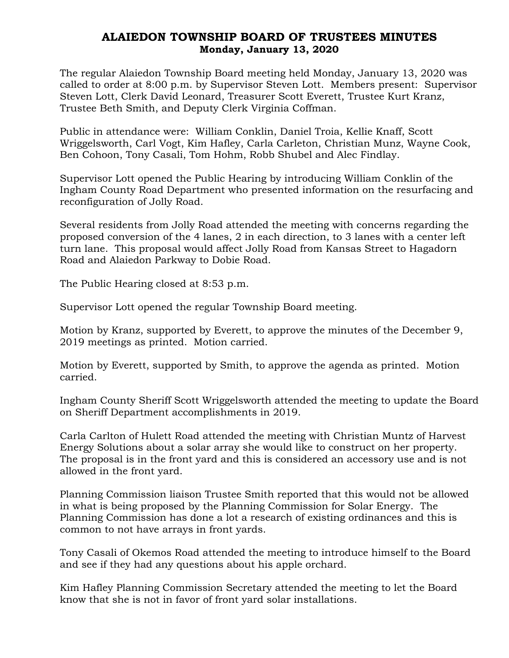## ALAIEDON TOWNSHIP BOARD OF TRUSTEES MINUTES Monday, January 13, 2020

The regular Alaiedon Township Board meeting held Monday, January 13, 2020 was called to order at 8:00 p.m. by Supervisor Steven Lott. Members present: Supervisor Steven Lott, Clerk David Leonard, Treasurer Scott Everett, Trustee Kurt Kranz, Trustee Beth Smith, and Deputy Clerk Virginia Coffman.

Public in attendance were: William Conklin, Daniel Troia, Kellie Knaff, Scott Wriggelsworth, Carl Vogt, Kim Hafley, Carla Carleton, Christian Munz, Wayne Cook, Ben Cohoon, Tony Casali, Tom Hohm, Robb Shubel and Alec Findlay.

Supervisor Lott opened the Public Hearing by introducing William Conklin of the Ingham County Road Department who presented information on the resurfacing and reconfiguration of Jolly Road.

Several residents from Jolly Road attended the meeting with concerns regarding the proposed conversion of the 4 lanes, 2 in each direction, to 3 lanes with a center left turn lane. This proposal would affect Jolly Road from Kansas Street to Hagadorn Road and Alaiedon Parkway to Dobie Road.

The Public Hearing closed at 8:53 p.m.

Supervisor Lott opened the regular Township Board meeting.

Motion by Kranz, supported by Everett, to approve the minutes of the December 9, 2019 meetings as printed. Motion carried.

Motion by Everett, supported by Smith, to approve the agenda as printed. Motion carried.

Ingham County Sheriff Scott Wriggelsworth attended the meeting to update the Board on Sheriff Department accomplishments in 2019.

Carla Carlton of Hulett Road attended the meeting with Christian Muntz of Harvest Energy Solutions about a solar array she would like to construct on her property. The proposal is in the front yard and this is considered an accessory use and is not allowed in the front yard.

Planning Commission liaison Trustee Smith reported that this would not be allowed in what is being proposed by the Planning Commission for Solar Energy. The Planning Commission has done a lot a research of existing ordinances and this is common to not have arrays in front yards.

Tony Casali of Okemos Road attended the meeting to introduce himself to the Board and see if they had any questions about his apple orchard.

Kim Hafley Planning Commission Secretary attended the meeting to let the Board know that she is not in favor of front yard solar installations.